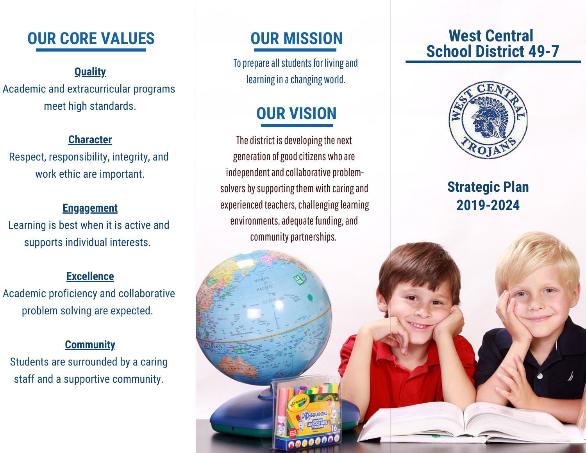# **OUR CORE VALUES OUR MISSION West Central**

Academic and extracurricular programs meet high standards.

## **Character**

Respect, responsibility, integrity, and work ethic are important.

### **Engagement**

Learning is best when it is active and supports individual interests.

### **Excellence**

Academic proficiency and collaborative problem solving are expected.

### **Community**

Students are surrounded by a caring staff and a supportive community.

# **OUR MISSION**

To prepare all students for living and **learning in a changing world. Quality Quality Quality CONSUMER CONSUMER CONSUMER CONSUMER CONSUMER CONSUMER CONSUMER CONSUMER CONSUMER CONSUMER CONSUMER CONSUMER CONSUMER CONSUMER CONSU** 

# **OUR VISION**

The district is developing the next generation of good citizens who are independent and collaborative problemsolvers by supporting them with caring and experienced teachers, challenging learning environments, adequate funding, and community partnerships.

# **School District 49-7**



# **Strategic Plan 2019-2024**